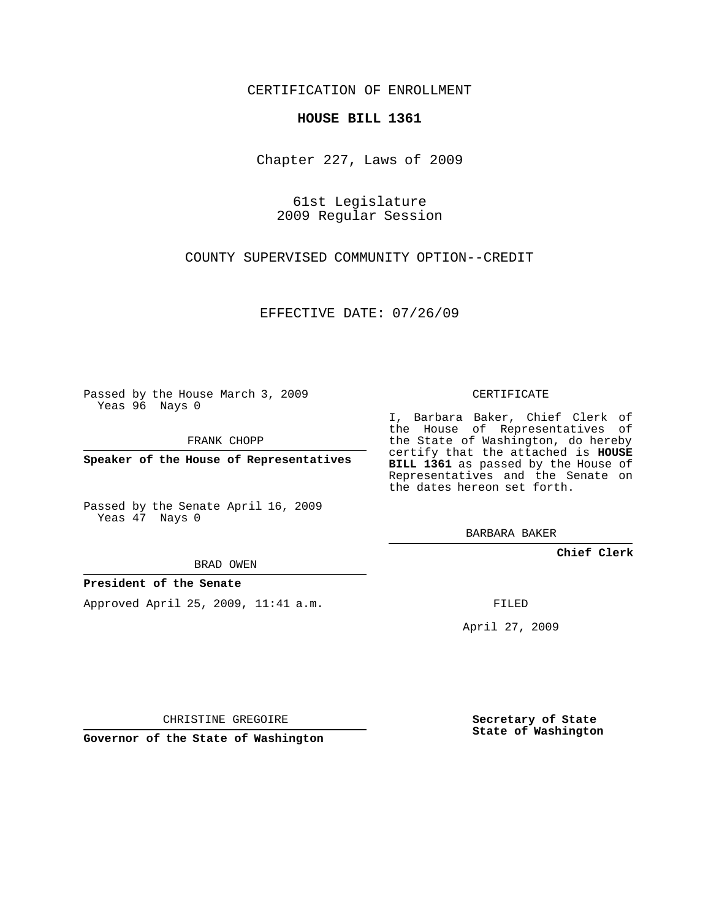CERTIFICATION OF ENROLLMENT

## **HOUSE BILL 1361**

Chapter 227, Laws of 2009

61st Legislature 2009 Regular Session

COUNTY SUPERVISED COMMUNITY OPTION--CREDIT

EFFECTIVE DATE: 07/26/09

Passed by the House March 3, 2009 Yeas 96 Nays 0

FRANK CHOPP

**Speaker of the House of Representatives**

Passed by the Senate April 16, 2009 Yeas 47 Nays 0

BRAD OWEN

## **President of the Senate**

Approved April 25, 2009, 11:41 a.m.

CERTIFICATE

I, Barbara Baker, Chief Clerk of the House of Representatives of the State of Washington, do hereby certify that the attached is **HOUSE BILL 1361** as passed by the House of Representatives and the Senate on the dates hereon set forth.

BARBARA BAKER

**Chief Clerk**

FILED

April 27, 2009

CHRISTINE GREGOIRE

**Governor of the State of Washington**

**Secretary of State State of Washington**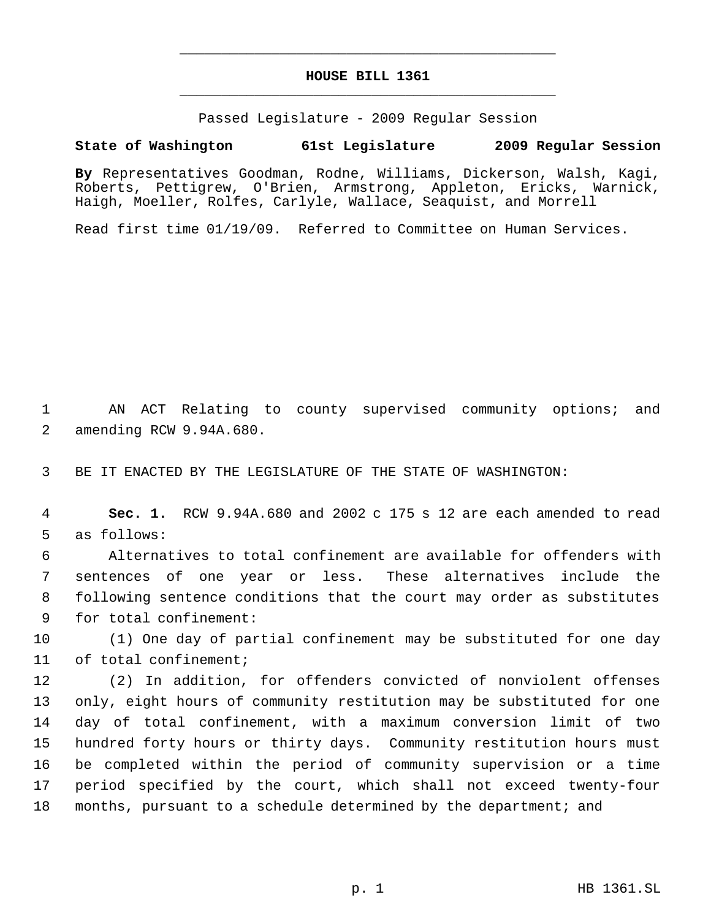## **HOUSE BILL 1361** \_\_\_\_\_\_\_\_\_\_\_\_\_\_\_\_\_\_\_\_\_\_\_\_\_\_\_\_\_\_\_\_\_\_\_\_\_\_\_\_\_\_\_\_\_

\_\_\_\_\_\_\_\_\_\_\_\_\_\_\_\_\_\_\_\_\_\_\_\_\_\_\_\_\_\_\_\_\_\_\_\_\_\_\_\_\_\_\_\_\_

Passed Legislature - 2009 Regular Session

## **State of Washington 61st Legislature 2009 Regular Session**

**By** Representatives Goodman, Rodne, Williams, Dickerson, Walsh, Kagi, Roberts, Pettigrew, O'Brien, Armstrong, Appleton, Ericks, Warnick, Haigh, Moeller, Rolfes, Carlyle, Wallace, Seaquist, and Morrell

Read first time 01/19/09. Referred to Committee on Human Services.

 AN ACT Relating to county supervised community options; and amending RCW 9.94A.680.

BE IT ENACTED BY THE LEGISLATURE OF THE STATE OF WASHINGTON:

 **Sec. 1.** RCW 9.94A.680 and 2002 c 175 s 12 are each amended to read as follows:

 Alternatives to total confinement are available for offenders with sentences of one year or less. These alternatives include the following sentence conditions that the court may order as substitutes for total confinement:

 (1) One day of partial confinement may be substituted for one day of total confinement;

 (2) In addition, for offenders convicted of nonviolent offenses only, eight hours of community restitution may be substituted for one day of total confinement, with a maximum conversion limit of two hundred forty hours or thirty days. Community restitution hours must be completed within the period of community supervision or a time period specified by the court, which shall not exceed twenty-four months, pursuant to a schedule determined by the department; and